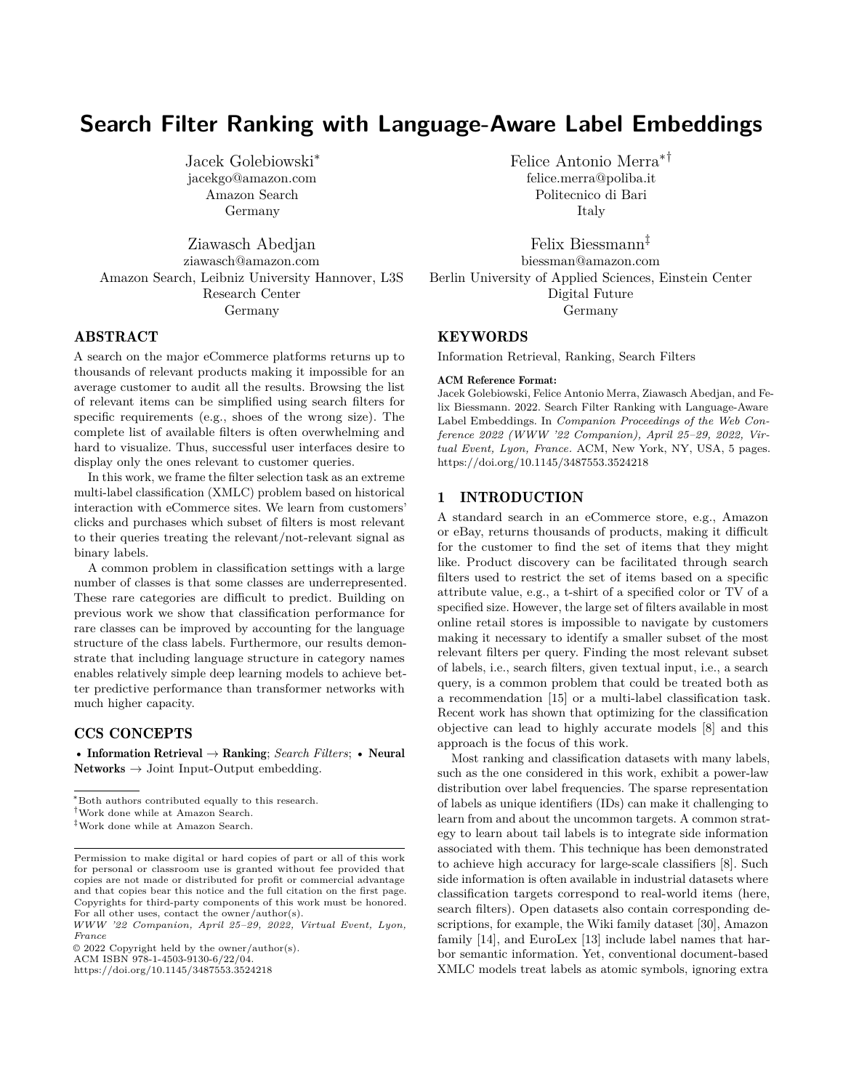# **Search Filter Ranking with Language-Aware Label Embeddings**

Jacek Golebiowski<sup>∗</sup> jacekgo@amazon.com Amazon Search Germany

Ziawasch Abedjan ziawasch@amazon.com Amazon Search, Leibniz University Hannover, L3S Research Center Germany

# ABSTRACT

A search on the major eCommerce platforms returns up to thousands of relevant products making it impossible for an average customer to audit all the results. Browsing the list of relevant items can be simplified using search filters for specific requirements (e.g., shoes of the wrong size). The complete list of available filters is often overwhelming and hard to visualize. Thus, successful user interfaces desire to display only the ones relevant to customer queries.

In this work, we frame the filter selection task as an extreme multi-label classification (XMLC) problem based on historical interaction with eCommerce sites. We learn from customers' clicks and purchases which subset of filters is most relevant to their queries treating the relevant/not-relevant signal as binary labels.

A common problem in classification settings with a large number of classes is that some classes are underrepresented. These rare categories are difficult to predict. Building on previous work we show that classification performance for rare classes can be improved by accounting for the language structure of the class labels. Furthermore, our results demonstrate that including language structure in category names enables relatively simple deep learning models to achieve better predictive performance than transformer networks with much higher capacity.

# CCS CONCEPTS

• Information Retrieval → Ranking; *Search Filters*; • Neural Networks  $\rightarrow$  Joint Input-Output embedding.

<sup>∗</sup>Both authors contributed equally to this research.

ACM ISBN 978-1-4503-9130-6/22/04.

Felice Antonio Merra∗† felice.merra@poliba.it Politecnico di Bari Italy

Felix Biessmann‡ biessman@amazon.com Berlin University of Applied Sciences, Einstein Center Digital Future Germany

# **KEYWORDS**

Information Retrieval, Ranking, Search Filters

#### ACM Reference Format:

Jacek Golebiowski, Felice Antonio Merra, Ziawasch Abedjan, and Felix Biessmann. 2022. Search Filter Ranking with Language-Aware Label Embeddings. In *Companion Proceedings of the Web Conference 2022 (WWW '22 Companion), April 25–29, 2022, Virtual Event, Lyon, France.* ACM, New York, NY, USA, [5](#page-4-0) pages. <https://doi.org/10.1145/3487553.3524218>

### 1 INTRODUCTION

A standard search in an eCommerce store, e.g., Amazon or eBay, returns thousands of products, making it difficult for the customer to find the set of items that they might like. Product discovery can be facilitated through search filters used to restrict the set of items based on a specific attribute value, e.g., a t-shirt of a specified color or TV of a specified size. However, the large set of filters available in most online retail stores is impossible to navigate by customers making it necessary to identify a smaller subset of the most relevant filters per query. Finding the most relevant subset of labels, i.e., search filters, given textual input, i.e., a search query, is a common problem that could be treated both as a recommendation [\[15\]](#page-4-1) or a multi-label classification task. Recent work has shown that optimizing for the classification objective can lead to highly accurate models [\[8\]](#page-4-2) and this approach is the focus of this work.

Most ranking and classification datasets with many labels, such as the one considered in this work, exhibit a power-law distribution over label frequencies. The sparse representation of labels as unique identifiers (IDs) can make it challenging to learn from and about the uncommon targets. A common strategy to learn about tail labels is to integrate side information associated with them. This technique has been demonstrated to achieve high accuracy for large-scale classifiers [\[8\]](#page-4-2). Such side information is often available in industrial datasets where classification targets correspond to real-world items (here, search filters). Open datasets also contain corresponding descriptions, for example, the Wiki family dataset [\[30\]](#page-4-3), Amazon family [\[14\]](#page-4-4), and EuroLex [\[13\]](#page-4-5) include label names that harbor semantic information. Yet, conventional document-based XMLC models treat labels as atomic symbols, ignoring extra

<sup>†</sup>Work done while at Amazon Search.

<sup>‡</sup>Work done while at Amazon Search.

Permission to make digital or hard copies of part or all of this work for personal or classroom use is granted without fee provided that copies are not made or distributed for profit or commercial advantage and that copies bear this notice and the full citation on the first page. Copyrights for third-party components of this work must be honored. For all other uses, contact the owner/author(s).

*WWW '22 Companion, April 25–29, 2022, Virtual Event, Lyon, France*

<sup>©</sup> 2022 Copyright held by the owner/author(s).

<https://doi.org/10.1145/3487553.3524218>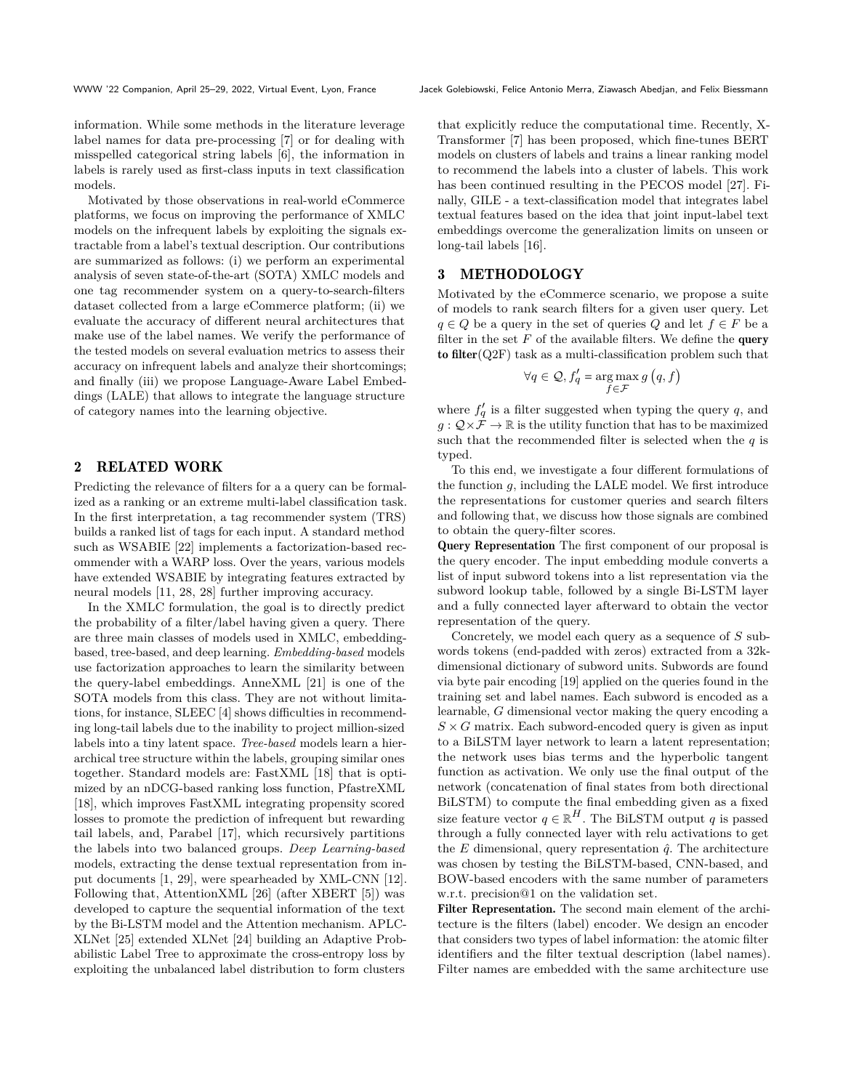information. While some methods in the literature leverage label names for data pre-processing [\[7\]](#page-4-6) or for dealing with misspelled categorical string labels [\[6\]](#page-4-7), the information in labels is rarely used as first-class inputs in text classification models.

Motivated by those observations in real-world eCommerce platforms, we focus on improving the performance of XMLC models on the infrequent labels by exploiting the signals extractable from a label's textual description. Our contributions are summarized as follows: (i) we perform an experimental analysis of seven state-of-the-art (SOTA) XMLC models and one tag recommender system on a query-to-search-filters dataset collected from a large eCommerce platform; (ii) we evaluate the accuracy of different neural architectures that make use of the label names. We verify the performance of the tested models on several evaluation metrics to assess their accuracy on infrequent labels and analyze their shortcomings; and finally (iii) we propose Language-Aware Label Embeddings (LALE) that allows to integrate the language structure of category names into the learning objective.

#### <span id="page-1-0"></span>2 RELATED WORK

Predicting the relevance of filters for a a query can be formalized as a ranking or an extreme multi-label classification task. In the first interpretation, a tag recommender system (TRS) builds a ranked list of tags for each input. A standard method such as WSABIE [\[22\]](#page-4-8) implements a factorization-based recommender with a WARP loss. Over the years, various models have extended WSABIE by integrating features extracted by neural models [\[11,](#page-4-9) [28, 28\]](#page-4-10) further improving accuracy.

In the XMLC formulation, the goal is to directly predict the probability of a filter/label having given a query. There are three main classes of models used in XMLC, embeddingbased, tree-based, and deep learning. *Embedding-based* models use factorization approaches to learn the similarity between the query-label embeddings. AnneXML [\[21\]](#page-4-11) is one of the SOTA models from this class. They are not without limitations, for instance, SLEEC [\[4\]](#page-4-12) shows difficulties in recommending long-tail labels due to the inability to project million-sized labels into a tiny latent space. *Tree-based* models learn a hierarchical tree structure within the labels, grouping similar ones together. Standard models are: FastXML [\[18\]](#page-4-13) that is optimized by an nDCG-based ranking loss function, PfastreXML [\[18\]](#page-4-13), which improves FastXML integrating propensity scored losses to promote the prediction of infrequent but rewarding tail labels, and, Parabel [\[17\]](#page-4-14), which recursively partitions the labels into two balanced groups. *Deep Learning-based* models, extracting the dense textual representation from input documents [\[1,](#page-4-15) [29\]](#page-4-16), were spearheaded by XML-CNN [\[12\]](#page-4-17). Following that, AttentionXML [\[26\]](#page-4-18) (after XBERT [\[5\]](#page-4-19)) was developed to capture the sequential information of the text by the Bi-LSTM model and the Attention mechanism. APLC-XLNet [\[25\]](#page-4-20) extended XLNet [\[24\]](#page-4-21) building an Adaptive Probabilistic Label Tree to approximate the cross-entropy loss by exploiting the unbalanced label distribution to form clusters

that explicitly reduce the computational time. Recently, X-Transformer [\[7\]](#page-4-6) has been proposed, which fine-tunes BERT models on clusters of labels and trains a linear ranking model to recommend the labels into a cluster of labels. This work has been continued resulting in the PECOS model [\[27\]](#page-4-22). Finally, GILE - a text-classification model that integrates label textual features based on the idea that joint input-label text embeddings overcome the generalization limits on unseen or long-tail labels [\[16\]](#page-4-23).

#### <span id="page-1-1"></span>3 METHODOLOGY

Motivated by the eCommerce scenario, we propose a suite of models to rank search filters for a given user query. Let  $q \in Q$  be a query in the set of queries  $Q$  and let  $f \in F$  be a filter in the set  $F$  of the available filters. We define the **query** to filter(Q2F) task as a multi-classification problem such that

$$
\forall q \in \mathcal{Q}, f'_q = \argmax_{f \in \mathcal{F}} g(q, f)
$$

where  $f'_q$  is a filter suggested when typing the query q, and  $g: \mathcal{Q} \times \mathcal{F} \to \mathbb{R}$  is the utility function that has to be maximized such that the recommended filter is selected when the  $q$  is typed.

To this end, we investigate a four different formulations of the function  $g$ , including the LALE model. We first introduce the representations for customer queries and search filters and following that, we discuss how those signals are combined to obtain the query-filter scores.

Query Representation The first component of our proposal is the query encoder. The input embedding module converts a list of input subword tokens into a list representation via the subword lookup table, followed by a single Bi-LSTM layer and a fully connected layer afterward to obtain the vector representation of the query.

Concretely, we model each query as a sequence of  $S$  subwords tokens (end-padded with zeros) extracted from a 32kdimensional dictionary of subword units. Subwords are found via byte pair encoding [\[19\]](#page-4-24) applied on the queries found in the training set and label names. Each subword is encoded as a learnable,  $G$  dimensional vector making the query encoding a  $S \times G$  matrix. Each subword-encoded query is given as input to a BiLSTM layer network to learn a latent representation; the network uses bias terms and the hyperbolic tangent function as activation. We only use the final output of the network (concatenation of final states from both directional BiLSTM) to compute the final embedding given as a fixed size feature vector  $q \in \mathbb{R}^H$ . The BiLSTM output q is passed through a fully connected layer with relu activations to get the  $E$  dimensional, query representation  $\hat{q}$ . The architecture was chosen by testing the BiLSTM-based, CNN-based, and BOW-based encoders with the same number of parameters w.r.t. precision@1 on the validation set.

Filter Representation. The second main element of the architecture is the filters (label) encoder. We design an encoder that considers two types of label information: the atomic filter identifiers and the filter textual description (label names). Filter names are embedded with the same architecture use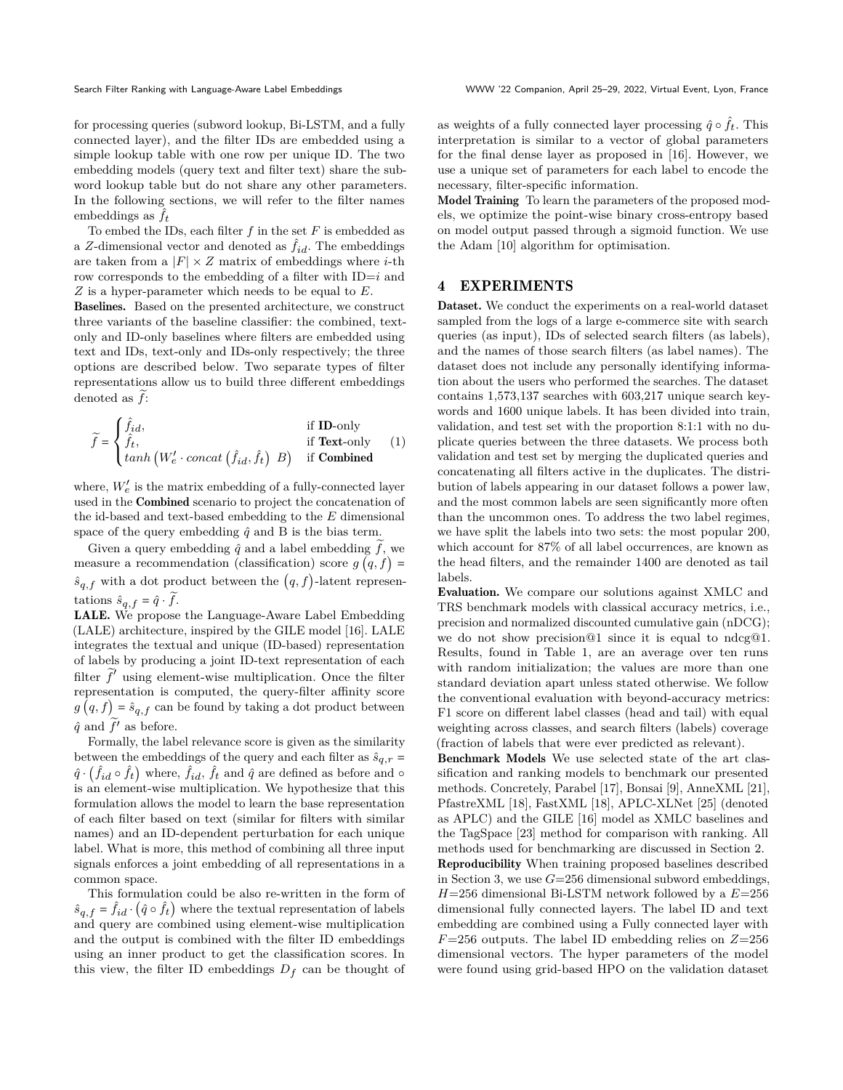for processing queries (subword lookup, Bi-LSTM, and a fully connected layer), and the filter IDs are embedded using a simple lookup table with one row per unique ID. The two embedding models (query text and filter text) share the subword lookup table but do not share any other parameters. In the following sections, we will refer to the filter names embeddings as  $f_t$ 

To embed the IDs, each filter  $f$  in the set  $F$  is embedded as a Z-dimensional vector and denoted as  $f_{id}$ . The embeddings are taken from a  $|F| \times Z$  matrix of embeddings where *i*-th row corresponds to the embedding of a filter with  $ID=i$  and  $Z$  is a hyper-parameter which needs to be equal to  $E$ .

Baselines. Based on the presented architecture, we construct three variants of the baseline classifier: the combined, textonly and ID-only baselines where filters are embedded using text and IDs, text-only and IDs-only respectively; the three options are described below. Two separate types of filter representations allow us to build three different embeddings denoted as  $\ddot{f}$ :

$$
\widetilde{f} = \begin{cases} \hat{f}_{id}, & \text{if ID-only} \\ \hat{f}_t, & \text{if Text-only} \\ \tanh(W'_e \cdot concat(\hat{f}_{id}, \hat{f}_t) \mid B) & \text{if Combined} \end{cases}
$$
(1)

where,  $W_{e}^{\prime}$  is the matrix embedding of a fully-connected layer used in the Combined scenario to project the concatenation of the id-based and text-based embedding to the  $E$  dimensional space of the query embedding  $\hat{q}$  and B is the bias term.

Given a query embedding  $\hat{q}$  and a label embedding  $\hat{f}$ , we measure a recommendation (classification) score  $g(q, f)$  =  $\hat{s}_{q,f}$  with a dot product between the  $(q, f)$ -latent representations  $\hat{s}_{q, f} = \hat{q} \cdot f$ .

LALE. We propose the Language-Aware Label Embedding (LALE) architecture, inspired by the GILE model [\[16\]](#page-4-23). LALE integrates the textual and unique (ID-based) representation of labels by producing a joint ID-text representation of each filter  $\tilde{f}'$  using element-wise multiplication. Once the filter representation is computed, the query-filter affinity score  $g(q, f) = \hat{s}_{q,f}$  can be found by taking a dot product between  $\hat{q}$  and  $f'$  as before.

Formally, the label relevance score is given as the similarity between the embeddings of the query and each filter as  $\hat{s}_{q,r}$  =  $\hat{q} \cdot (\hat{f}_{id} \circ \hat{f}_{t})$  where,  $\hat{f}_{id}$ ,  $\hat{f}_{t}$  and  $\hat{q}$  are defined as before and  $\circ$ is an element-wise multiplication. We hypothesize that this formulation allows the model to learn the base representation of each filter based on text (similar for filters with similar names) and an ID-dependent perturbation for each unique label. What is more, this method of combining all three input signals enforces a joint embedding of all representations in a common space.

This formulation could be also re-written in the form of  $\hat{s}_{q,f} = \hat{f}_{id} \cdot (\hat{q} \circ \hat{f}_t)$  where the textual representation of labels and query are combined using element-wise multiplication and the output is combined with the filter ID embeddings using an inner product to get the classification scores. In this view, the filter ID embeddings  $D_f$  can be thought of

as weights of a fully connected layer processing  $\hat{q} \circ \hat{f}_t$  . This interpretation is similar to a vector of global parameters for the final dense layer as proposed in [\[16\]](#page-4-23). However, we use a unique set of parameters for each label to encode the necessary, filter-specific information.

Model Training To learn the parameters of the proposed models, we optimize the point-wise binary cross-entropy based on model output passed through a sigmoid function. We use the Adam [\[10\]](#page-4-25) algorithm for optimisation.

#### <span id="page-2-0"></span>4 EXPERIMENTS

Dataset. We conduct the experiments on a real-world dataset sampled from the logs of a large e-commerce site with search queries (as input), IDs of selected search filters (as labels), and the names of those search filters (as label names). The dataset does not include any personally identifying information about the users who performed the searches. The dataset contains 1,573,137 searches with 603,217 unique search keywords and 1600 unique labels. It has been divided into train, validation, and test set with the proportion 8:1:1 with no duplicate queries between the three datasets. We process both validation and test set by merging the duplicated queries and concatenating all filters active in the duplicates. The distribution of labels appearing in our dataset follows a power law, and the most common labels are seen significantly more often than the uncommon ones. To address the two label regimes, we have split the labels into two sets: the most popular 200, which account for 87% of all label occurrences, are known as the head filters, and the remainder 1400 are denoted as tail labels.

Evaluation. We compare our solutions against XMLC and TRS benchmark models with classical accuracy metrics, i.e., precision and normalized discounted cumulative gain (nDCG); we do not show precision@1 since it is equal to ndcg@1. Results, found in Table [1,](#page-3-0) are an average over ten runs with random initialization; the values are more than one standard deviation apart unless stated otherwise. We follow the conventional evaluation with beyond-accuracy metrics: F1 score on different label classes (head and tail) with equal weighting across classes, and search filters (labels) coverage (fraction of labels that were ever predicted as relevant).

Benchmark Models We use selected state of the art classification and ranking models to benchmark our presented methods. Concretely, Parabel [\[17\]](#page-4-14), Bonsai [\[9\]](#page-4-26), AnneXML [\[21\]](#page-4-11), PfastreXML [\[18\]](#page-4-13), FastXML [\[18\]](#page-4-13), APLC-XLNet [\[25\]](#page-4-20) (denoted as APLC) and the GILE [\[16\]](#page-4-23) model as XMLC baselines and the TagSpace [\[23\]](#page-4-27) method for comparison with ranking. All methods used for benchmarking are discussed in Section [2.](#page-1-0) Reproducibility When training proposed baselines described in Section [3,](#page-1-1) we use  $G=256$  dimensional subword embeddings,  $H=256$  dimensional Bi-LSTM network followed by a  $E=256$ dimensional fully connected layers. The label ID and text embedding are combined using a Fully connected layer with  $F=256$  outputs. The label ID embedding relies on  $Z=256$ dimensional vectors. The hyper parameters of the model were found using grid-based HPO on the validation dataset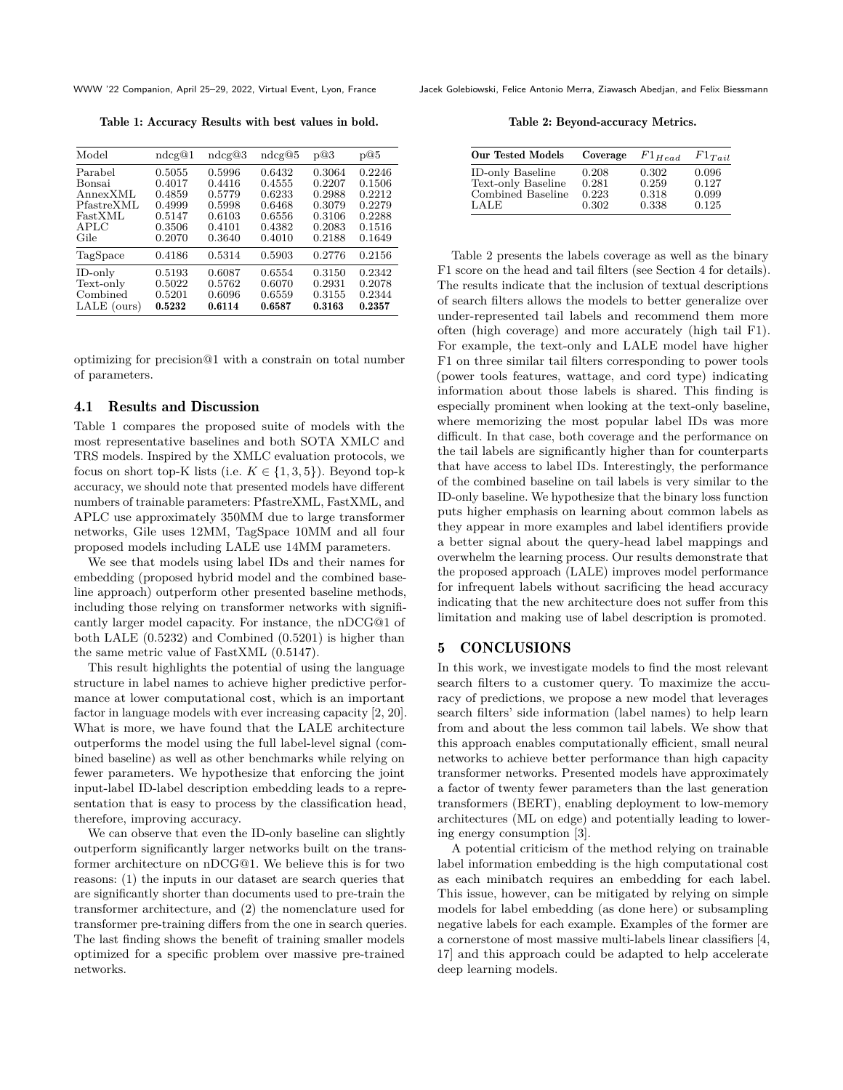<span id="page-3-0"></span>

Table 1: Accuracy Results with best values in bold.

| Model       | ndcg@1 | ndcg@3 | ndcg@5 | p@3    | p@5    |
|-------------|--------|--------|--------|--------|--------|
| Parabel     | 0.5055 | 0.5996 | 0.6432 | 0.3064 | 0.2246 |
| Bonsai      | 0.4017 | 0.4416 | 0.4555 | 0.2207 | 0.1506 |
| AnnexXML    | 0.4859 | 0.5779 | 0.6233 | 0.2988 | 0.2212 |
| PfastreXML  | 0.4999 | 0.5998 | 0.6468 | 0.3079 | 0.2279 |
| FastXML     | 0.5147 | 0.6103 | 0.6556 | 0.3106 | 0.2288 |
| APLC        | 0.3506 | 0.4101 | 0.4382 | 0.2083 | 0.1516 |
| Gile        | 0.2070 | 0.3640 | 0.4010 | 0.2188 | 0.1649 |
| TagSpace    | 0.4186 | 0.5314 | 0.5903 | 0.2776 | 0.2156 |
| ID-only     | 0.5193 | 0.6087 | 0.6554 | 0.3150 | 0.2342 |
| Text-only   | 0.5022 | 0.5762 | 0.6070 | 0.2931 | 0.2078 |
| Combined    | 0.5201 | 0.6096 | 0.6559 | 0.3155 | 0.2344 |
| LALE (ours) | 0.5232 | 0.6114 | 0.6587 | 0.3163 | 0.2357 |

optimizing for precision@1 with a constrain on total number of parameters.

#### 4.1 Results and Discussion

Table [1](#page-3-0) compares the proposed suite of models with the most representative baselines and both SOTA XMLC and TRS models. Inspired by the XMLC evaluation protocols, we focus on short top-K lists (i.e.  $K \in \{1,3,5\}$ ). Beyond top-k accuracy, we should note that presented models have different numbers of trainable parameters: PfastreXML, FastXML, and APLC use approximately 350MM due to large transformer networks, Gile uses 12MM, TagSpace 10MM and all four proposed models including LALE use 14MM parameters.

We see that models using label IDs and their names for embedding (proposed hybrid model and the combined baseline approach) outperform other presented baseline methods, including those relying on transformer networks with significantly larger model capacity. For instance, the nDCG@1 of both LALE (0.5232) and Combined (0.5201) is higher than the same metric value of FastXML (0.5147).

This result highlights the potential of using the language structure in label names to achieve higher predictive performance at lower computational cost, which is an important factor in language models with ever increasing capacity [\[2,](#page-4-28) [20\]](#page-4-29). What is more, we have found that the LALE architecture outperforms the model using the full label-level signal (combined baseline) as well as other benchmarks while relying on fewer parameters. We hypothesize that enforcing the joint input-label ID-label description embedding leads to a representation that is easy to process by the classification head, therefore, improving accuracy.

We can observe that even the ID-only baseline can slightly outperform significantly larger networks built on the transformer architecture on nDCG@1. We believe this is for two reasons: (1) the inputs in our dataset are search queries that are significantly shorter than documents used to pre-train the transformer architecture, and (2) the nomenclature used for transformer pre-training differs from the one in search queries. The last finding shows the benefit of training smaller models optimized for a specific problem over massive pre-trained networks.

WWW '22 Companion, April 25–29, 2022, Virtual Event, Lyon, France Jacek Golebiowski, Felice Antonio Merra, Ziawasch Abedjan, and Felix Biessmann

Table 2: Beyond-accuracy Metrics.

<span id="page-3-1"></span>

| <b>Our Tested Models</b> | Coverage | $F1_{Head}$ | $F1_{Tail}$ |
|--------------------------|----------|-------------|-------------|
| <b>ID-only Baseline</b>  | 0.208    | 0.302       | 0.096       |
| Text-only Baseline       | 0.281    | 0.259       | 0.127       |
| Combined Baseline        | 0.223    | 0.318       | 0.099       |
| LALE                     | 0.302    | 0.338       | 0.125       |

Table [2](#page-3-1) presents the labels coverage as well as the binary F1 score on the head and tail filters (see Section [4](#page-2-0) for details). The results indicate that the inclusion of textual descriptions of search filters allows the models to better generalize over under-represented tail labels and recommend them more often (high coverage) and more accurately (high tail F1). For example, the text-only and LALE model have higher F1 on three similar tail filters corresponding to power tools (power tools features, wattage, and cord type) indicating information about those labels is shared. This finding is especially prominent when looking at the text-only baseline, where memorizing the most popular label IDs was more difficult. In that case, both coverage and the performance on the tail labels are significantly higher than for counterparts that have access to label IDs. Interestingly, the performance of the combined baseline on tail labels is very similar to the ID-only baseline. We hypothesize that the binary loss function puts higher emphasis on learning about common labels as they appear in more examples and label identifiers provide a better signal about the query-head label mappings and overwhelm the learning process. Our results demonstrate that the proposed approach (LALE) improves model performance for infrequent labels without sacrificing the head accuracy indicating that the new architecture does not suffer from this limitation and making use of label description is promoted.

#### 5 CONCLUSIONS

In this work, we investigate models to find the most relevant search filters to a customer query. To maximize the accuracy of predictions, we propose a new model that leverages search filters' side information (label names) to help learn from and about the less common tail labels. We show that this approach enables computationally efficient, small neural networks to achieve better performance than high capacity transformer networks. Presented models have approximately a factor of twenty fewer parameters than the last generation transformers (BERT), enabling deployment to low-memory architectures (ML on edge) and potentially leading to lowering energy consumption [\[3\]](#page-4-30).

A potential criticism of the method relying on trainable label information embedding is the high computational cost as each minibatch requires an embedding for each label. This issue, however, can be mitigated by relying on simple models for label embedding (as done here) or subsampling negative labels for each example. Examples of the former are a cornerstone of most massive multi-labels linear classifiers [\[4,](#page-4-12) [17\]](#page-4-14) and this approach could be adapted to help accelerate deep learning models.